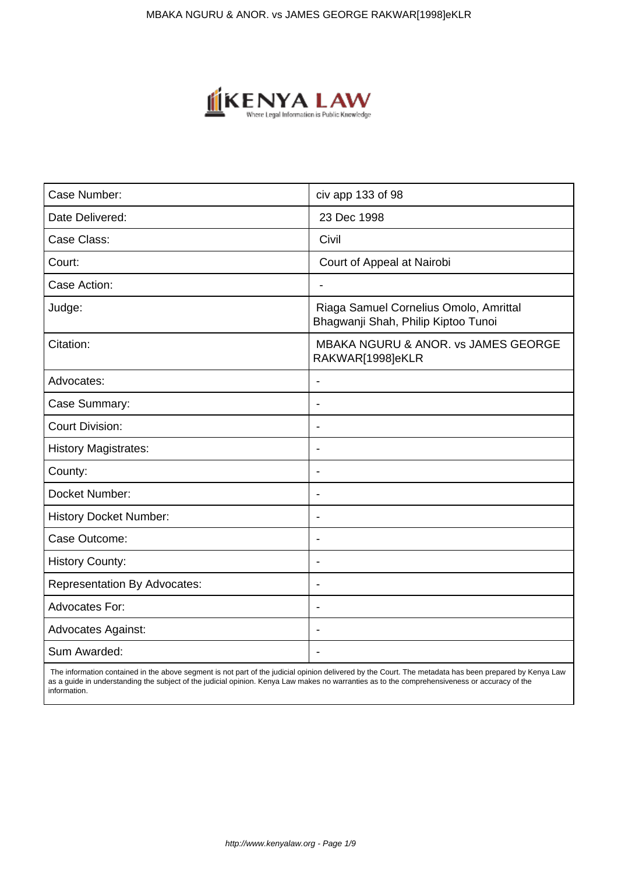

| Case Number:                        | civ app 133 of 98                                                             |
|-------------------------------------|-------------------------------------------------------------------------------|
| Date Delivered:                     | 23 Dec 1998                                                                   |
| Case Class:                         | Civil                                                                         |
| Court:                              | Court of Appeal at Nairobi                                                    |
| Case Action:                        | $\overline{\phantom{a}}$                                                      |
| Judge:                              | Riaga Samuel Cornelius Omolo, Amrittal<br>Bhagwanji Shah, Philip Kiptoo Tunoi |
| Citation:                           | <b>MBAKA NGURU &amp; ANOR. vs JAMES GEORGE</b><br>RAKWAR[1998]eKLR            |
| Advocates:                          | $\blacksquare$                                                                |
| Case Summary:                       | $\blacksquare$                                                                |
| <b>Court Division:</b>              |                                                                               |
| <b>History Magistrates:</b>         | Ĭ.                                                                            |
| County:                             |                                                                               |
| Docket Number:                      | $\blacksquare$                                                                |
| <b>History Docket Number:</b>       |                                                                               |
| Case Outcome:                       |                                                                               |
| <b>History County:</b>              |                                                                               |
| <b>Representation By Advocates:</b> | $\blacksquare$                                                                |
| Advocates For:                      | ٠                                                                             |
| Advocates Against:                  |                                                                               |
| Sum Awarded:                        |                                                                               |

 The information contained in the above segment is not part of the judicial opinion delivered by the Court. The metadata has been prepared by Kenya Law as a guide in understanding the subject of the judicial opinion. Kenya Law makes no warranties as to the comprehensiveness or accuracy of the information.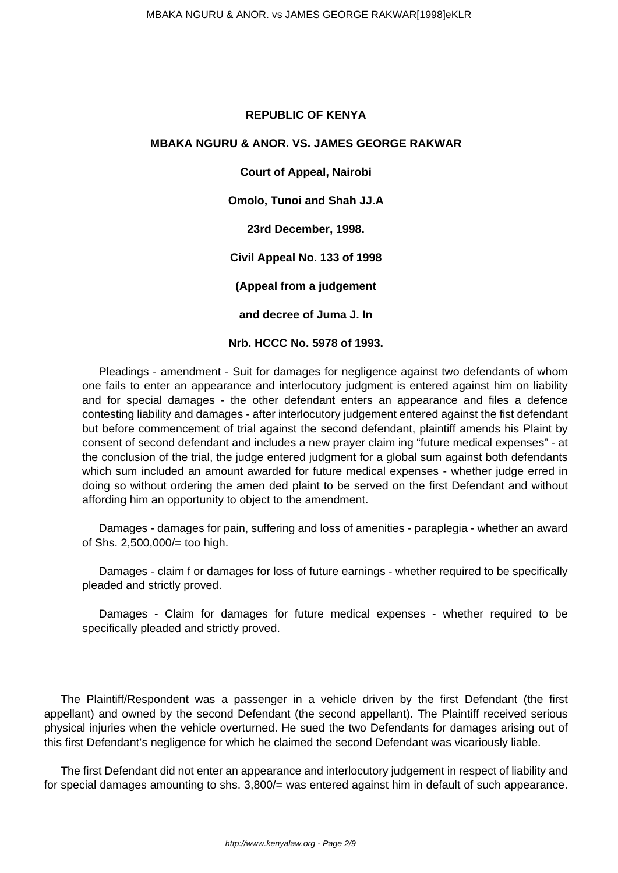# **REPUBLIC OF KENYA**

## **MBAKA NGURU & ANOR. VS. JAMES GEORGE RAKWAR**

**Court of Appeal, Nairobi Omolo, Tunoi and Shah JJ.A 23rd December, 1998. Civil Appeal No. 133 of 1998 (Appeal from a judgement and decree of Juma J. In Nrb. HCCC No. 5978 of 1993.**

Pleadings - amendment - Suit for damages for negligence against two defendants of whom one fails to enter an appearance and interlocutory judgment is entered against him on liability and for special damages - the other defendant enters an appearance and files a defence contesting liability and damages - after interlocutory judgement entered against the fist defendant but before commencement of trial against the second defendant, plaintiff amends his Plaint by consent of second defendant and includes a new prayer claim ing "future medical expenses" - at the conclusion of the trial, the judge entered judgment for a global sum against both defendants which sum included an amount awarded for future medical expenses - whether judge erred in doing so without ordering the amen ded plaint to be served on the first Defendant and without affording him an opportunity to object to the amendment.

Damages - damages for pain, suffering and loss of amenities - paraplegia - whether an award of Shs. 2,500,000/= too high.

Damages - claim f or damages for loss of future earnings - whether required to be specifically pleaded and strictly proved.

Damages - Claim for damages for future medical expenses - whether required to be specifically pleaded and strictly proved.

The Plaintiff/Respondent was a passenger in a vehicle driven by the first Defendant (the first appellant) and owned by the second Defendant (the second appellant). The Plaintiff received serious physical injuries when the vehicle overturned. He sued the two Defendants for damages arising out of this first Defendant's negligence for which he claimed the second Defendant was vicariously liable.

The first Defendant did not enter an appearance and interlocutory judgement in respect of liability and for special damages amounting to shs. 3,800/= was entered against him in default of such appearance.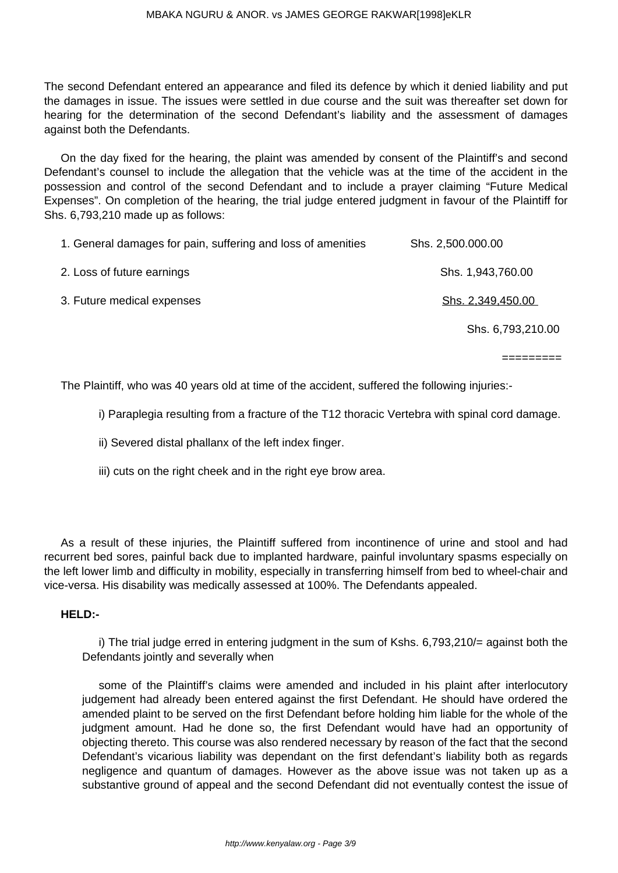The second Defendant entered an appearance and filed its defence by which it denied liability and put the damages in issue. The issues were settled in due course and the suit was thereafter set down for hearing for the determination of the second Defendant's liability and the assessment of damages against both the Defendants.

On the day fixed for the hearing, the plaint was amended by consent of the Plaintiff's and second Defendant's counsel to include the allegation that the vehicle was at the time of the accident in the possession and control of the second Defendant and to include a prayer claiming "Future Medical Expenses". On completion of the hearing, the trial judge entered judgment in favour of the Plaintiff for Shs. 6,793,210 made up as follows:

| 1. General damages for pain, suffering and loss of amenities | Shs. 2,500.000.00 |
|--------------------------------------------------------------|-------------------|
| 2. Loss of future earnings                                   | Shs. 1,943,760.00 |
| 3. Future medical expenses                                   | Shs. 2,349,450.00 |
|                                                              | Shs. 6,793,210.00 |
|                                                              |                   |

The Plaintiff, who was 40 years old at time of the accident, suffered the following injuries:-

i) Paraplegia resulting from a fracture of the T12 thoracic Vertebra with spinal cord damage.

=========

ii) Severed distal phallanx of the left index finger.

iii) cuts on the right cheek and in the right eye brow area.

As a result of these injuries, the Plaintiff suffered from incontinence of urine and stool and had recurrent bed sores, painful back due to implanted hardware, painful involuntary spasms especially on the left lower limb and difficulty in mobility, especially in transferring himself from bed to wheel-chair and vice-versa. His disability was medically assessed at 100%. The Defendants appealed.

### **HELD:-**

i) The trial judge erred in entering judgment in the sum of Kshs. 6,793,210/= against both the Defendants jointly and severally when

some of the Plaintiff's claims were amended and included in his plaint after interlocutory judgement had already been entered against the first Defendant. He should have ordered the amended plaint to be served on the first Defendant before holding him liable for the whole of the judgment amount. Had he done so, the first Defendant would have had an opportunity of objecting thereto. This course was also rendered necessary by reason of the fact that the second Defendant's vicarious liability was dependant on the first defendant's liability both as regards negligence and quantum of damages. However as the above issue was not taken up as a substantive ground of appeal and the second Defendant did not eventually contest the issue of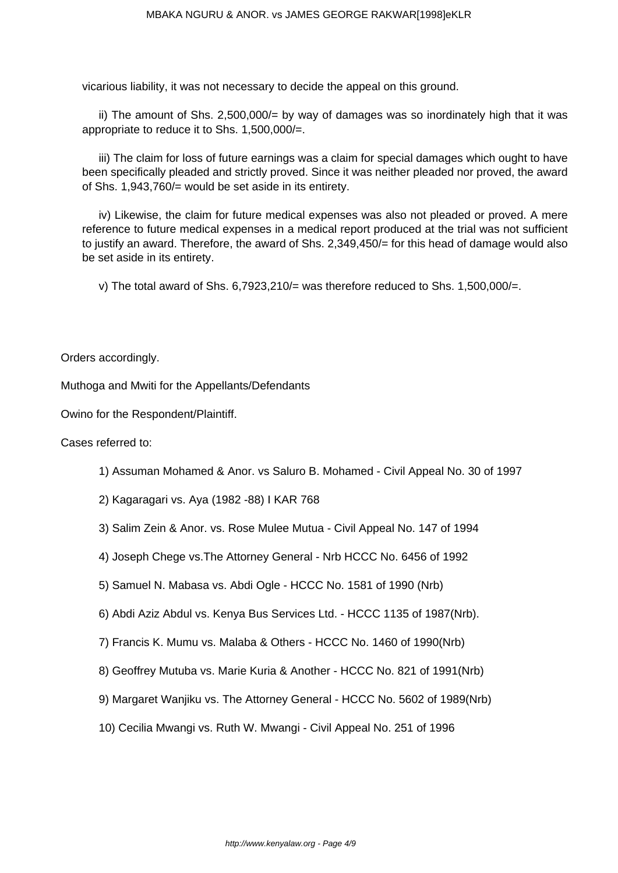vicarious liability, it was not necessary to decide the appeal on this ground.

ii) The amount of Shs. 2,500,000/= by way of damages was so inordinately high that it was appropriate to reduce it to Shs. 1,500,000/=.

iii) The claim for loss of future earnings was a claim for special damages which ought to have been specifically pleaded and strictly proved. Since it was neither pleaded nor proved, the award of Shs. 1,943,760/= would be set aside in its entirety.

iv) Likewise, the claim for future medical expenses was also not pleaded or proved. A mere reference to future medical expenses in a medical report produced at the trial was not sufficient to justify an award. Therefore, the award of Shs. 2,349,450/= for this head of damage would also be set aside in its entirety.

v) The total award of Shs.  $6,7923,210/=$  was therefore reduced to Shs. 1,500,000/=.

Orders accordingly.

Muthoga and Mwiti for the Appellants/Defendants

Owino for the Respondent/Plaintiff.

Cases referred to:

- 1) Assuman Mohamed & Anor. vs Saluro B. Mohamed Civil Appeal No. 30 of 1997
- 2) Kagaragari vs. Aya (1982 -88) I KAR 768
- 3) Salim Zein & Anor. vs. Rose Mulee Mutua Civil Appeal No. 147 of 1994
- 4) Joseph Chege vs.The Attorney General Nrb HCCC No. 6456 of 1992
- 5) Samuel N. Mabasa vs. Abdi Ogle HCCC No. 1581 of 1990 (Nrb)
- 6) Abdi Aziz Abdul vs. Kenya Bus Services Ltd. HCCC 1135 of 1987(Nrb).
- 7) Francis K. Mumu vs. Malaba & Others HCCC No. 1460 of 1990(Nrb)
- 8) Geoffrey Mutuba vs. Marie Kuria & Another HCCC No. 821 of 1991(Nrb)
- 9) Margaret Wanjiku vs. The Attorney General HCCC No. 5602 of 1989(Nrb)
- 10) Cecilia Mwangi vs. Ruth W. Mwangi Civil Appeal No. 251 of 1996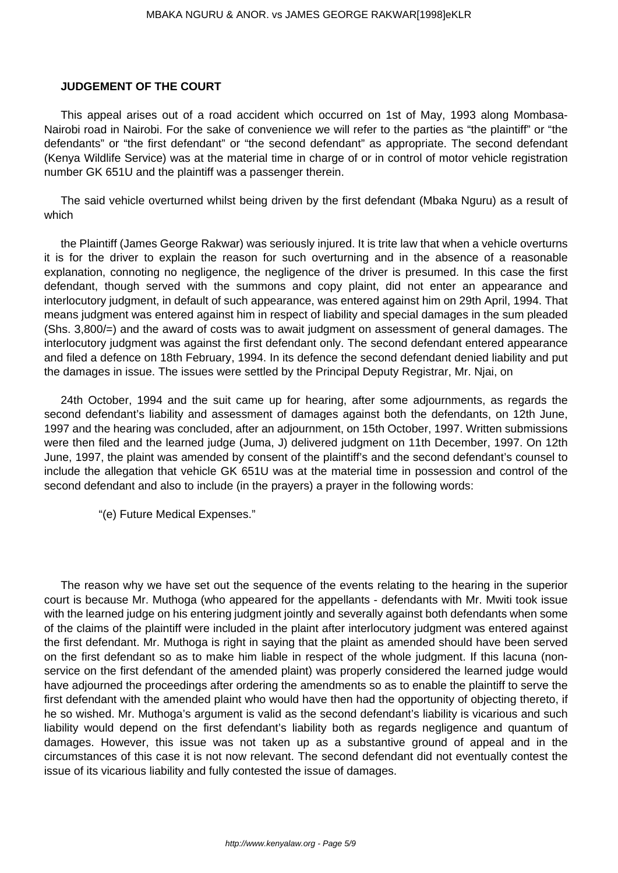# **JUDGEMENT OF THE COURT**

This appeal arises out of a road accident which occurred on 1st of May, 1993 along Mombasa-Nairobi road in Nairobi. For the sake of convenience we will refer to the parties as "the plaintiff" or "the defendants" or "the first defendant" or "the second defendant" as appropriate. The second defendant (Kenya Wildlife Service) was at the material time in charge of or in control of motor vehicle registration number GK 651U and the plaintiff was a passenger therein.

The said vehicle overturned whilst being driven by the first defendant (Mbaka Nguru) as a result of which

the Plaintiff (James George Rakwar) was seriously injured. It is trite law that when a vehicle overturns it is for the driver to explain the reason for such overturning and in the absence of a reasonable explanation, connoting no negligence, the negligence of the driver is presumed. In this case the first defendant, though served with the summons and copy plaint, did not enter an appearance and interlocutory judgment, in default of such appearance, was entered against him on 29th April, 1994. That means judgment was entered against him in respect of liability and special damages in the sum pleaded (Shs. 3,800/=) and the award of costs was to await judgment on assessment of general damages. The interlocutory judgment was against the first defendant only. The second defendant entered appearance and filed a defence on 18th February, 1994. In its defence the second defendant denied liability and put the damages in issue. The issues were settled by the Principal Deputy Registrar, Mr. Njai, on

24th October, 1994 and the suit came up for hearing, after some adjournments, as regards the second defendant's liability and assessment of damages against both the defendants, on 12th June, 1997 and the hearing was concluded, after an adjournment, on 15th October, 1997. Written submissions were then filed and the learned judge (Juma, J) delivered judgment on 11th December, 1997. On 12th June, 1997, the plaint was amended by consent of the plaintiff's and the second defendant's counsel to include the allegation that vehicle GK 651U was at the material time in possession and control of the second defendant and also to include (in the prayers) a prayer in the following words:

"(e) Future Medical Expenses."

The reason why we have set out the sequence of the events relating to the hearing in the superior court is because Mr. Muthoga (who appeared for the appellants - defendants with Mr. Mwiti took issue with the learned judge on his entering judgment jointly and severally against both defendants when some of the claims of the plaintiff were included in the plaint after interlocutory judgment was entered against the first defendant. Mr. Muthoga is right in saying that the plaint as amended should have been served on the first defendant so as to make him liable in respect of the whole judgment. If this lacuna (nonservice on the first defendant of the amended plaint) was properly considered the learned judge would have adjourned the proceedings after ordering the amendments so as to enable the plaintiff to serve the first defendant with the amended plaint who would have then had the opportunity of objecting thereto, if he so wished. Mr. Muthoga's argument is valid as the second defendant's liability is vicarious and such liability would depend on the first defendant's liability both as regards negligence and quantum of damages. However, this issue was not taken up as a substantive ground of appeal and in the circumstances of this case it is not now relevant. The second defendant did not eventually contest the issue of its vicarious liability and fully contested the issue of damages.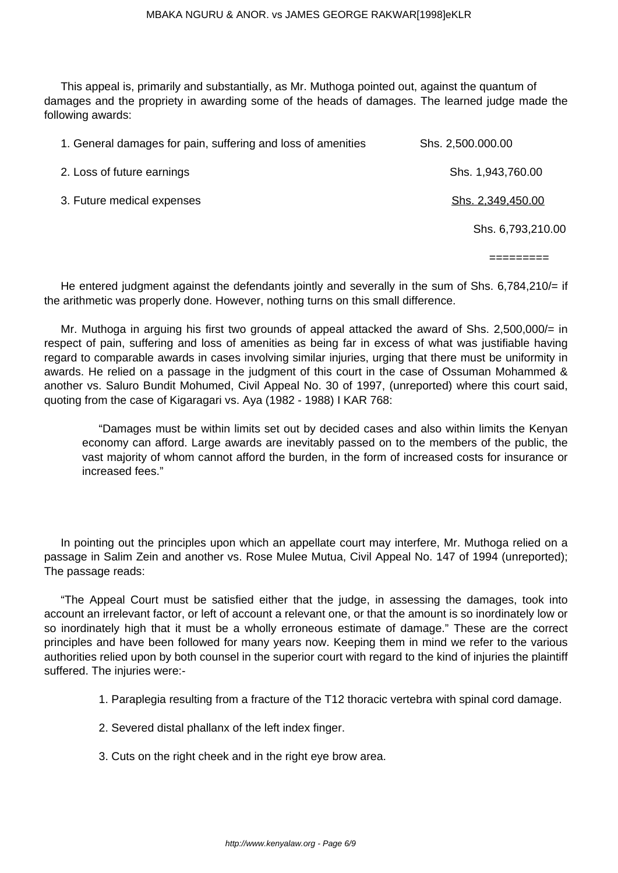This appeal is, primarily and substantially, as Mr. Muthoga pointed out, against the quantum of damages and the propriety in awarding some of the heads of damages. The learned judge made the following awards:

| 1. General damages for pain, suffering and loss of amenities | Shs. 2,500.000.00 |
|--------------------------------------------------------------|-------------------|
| 2. Loss of future earnings                                   | Shs. 1,943,760.00 |
| 3. Future medical expenses                                   | Shs. 2,349,450.00 |
|                                                              | Shs. 6,793,210.00 |

=========

He entered judgment against the defendants jointly and severally in the sum of Shs. 6,784,210/= if the arithmetic was properly done. However, nothing turns on this small difference.

Mr. Muthoga in arguing his first two grounds of appeal attacked the award of Shs. 2,500,000/= in respect of pain, suffering and loss of amenities as being far in excess of what was justifiable having regard to comparable awards in cases involving similar injuries, urging that there must be uniformity in awards. He relied on a passage in the judgment of this court in the case of Ossuman Mohammed & another vs. Saluro Bundit Mohumed, Civil Appeal No. 30 of 1997, (unreported) where this court said, quoting from the case of Kigaragari vs. Aya (1982 - 1988) I KAR 768:

"Damages must be within limits set out by decided cases and also within limits the Kenyan economy can afford. Large awards are inevitably passed on to the members of the public, the vast majority of whom cannot afford the burden, in the form of increased costs for insurance or increased fees."

In pointing out the principles upon which an appellate court may interfere, Mr. Muthoga relied on a passage in Salim Zein and another vs. Rose Mulee Mutua, Civil Appeal No. 147 of 1994 (unreported); The passage reads:

"The Appeal Court must be satisfied either that the judge, in assessing the damages, took into account an irrelevant factor, or left of account a relevant one, or that the amount is so inordinately low or so inordinately high that it must be a wholly erroneous estimate of damage." These are the correct principles and have been followed for many years now. Keeping them in mind we refer to the various authorities relied upon by both counsel in the superior court with regard to the kind of injuries the plaintiff suffered. The injuries were:-

- 1. Paraplegia resulting from a fracture of the T12 thoracic vertebra with spinal cord damage.
- 2. Severed distal phallanx of the left index finger.
- 3. Cuts on the right cheek and in the right eye brow area.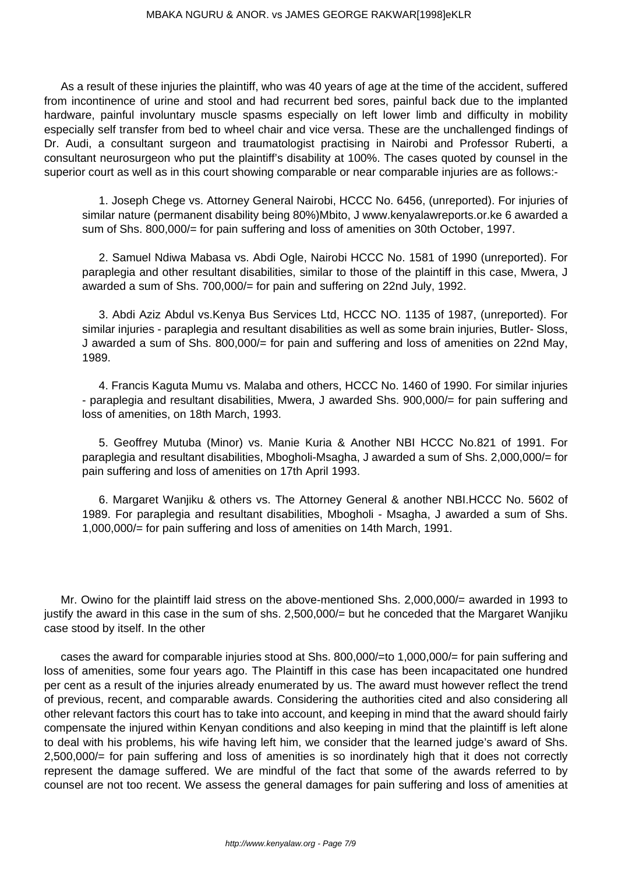As a result of these injuries the plaintiff, who was 40 years of age at the time of the accident, suffered from incontinence of urine and stool and had recurrent bed sores, painful back due to the implanted hardware, painful involuntary muscle spasms especially on left lower limb and difficulty in mobility especially self transfer from bed to wheel chair and vice versa. These are the unchallenged findings of Dr. Audi, a consultant surgeon and traumatologist practising in Nairobi and Professor Ruberti, a consultant neurosurgeon who put the plaintiff's disability at 100%. The cases quoted by counsel in the superior court as well as in this court showing comparable or near comparable injuries are as follows:-

1. Joseph Chege vs. Attorney General Nairobi, HCCC No. 6456, (unreported). For injuries of similar nature (permanent disability being 80%)Mbito, J www.kenyalawreports.or.ke 6 awarded a sum of Shs. 800,000/= for pain suffering and loss of amenities on 30th October, 1997.

2. Samuel Ndiwa Mabasa vs. Abdi Ogle, Nairobi HCCC No. 1581 of 1990 (unreported). For paraplegia and other resultant disabilities, similar to those of the plaintiff in this case, Mwera, J awarded a sum of Shs. 700,000/= for pain and suffering on 22nd July, 1992.

3. Abdi Aziz Abdul vs.Kenya Bus Services Ltd, HCCC NO. 1135 of 1987, (unreported). For similar injuries - paraplegia and resultant disabilities as well as some brain injuries, Butler- Sloss, J awarded a sum of Shs. 800,000/= for pain and suffering and loss of amenities on 22nd May, 1989.

4. Francis Kaguta Mumu vs. Malaba and others, HCCC No. 1460 of 1990. For similar injuries - paraplegia and resultant disabilities, Mwera, J awarded Shs. 900,000/= for pain suffering and loss of amenities, on 18th March, 1993.

5. Geoffrey Mutuba (Minor) vs. Manie Kuria & Another NBI HCCC No.821 of 1991. For paraplegia and resultant disabilities, Mbogholi-Msagha, J awarded a sum of Shs. 2,000,000/= for pain suffering and loss of amenities on 17th April 1993.

6. Margaret Wanjiku & others vs. The Attorney General & another NBI.HCCC No. 5602 of 1989. For paraplegia and resultant disabilities, Mbogholi - Msagha, J awarded a sum of Shs. 1,000,000/= for pain suffering and loss of amenities on 14th March, 1991.

Mr. Owino for the plaintiff laid stress on the above-mentioned Shs. 2,000,000/= awarded in 1993 to justify the award in this case in the sum of shs. 2,500,000/= but he conceded that the Margaret Wanjiku case stood by itself. In the other

cases the award for comparable injuries stood at Shs. 800,000/=to 1,000,000/= for pain suffering and loss of amenities, some four years ago. The Plaintiff in this case has been incapacitated one hundred per cent as a result of the injuries already enumerated by us. The award must however reflect the trend of previous, recent, and comparable awards. Considering the authorities cited and also considering all other relevant factors this court has to take into account, and keeping in mind that the award should fairly compensate the injured within Kenyan conditions and also keeping in mind that the plaintiff is left alone to deal with his problems, his wife having left him, we consider that the learned judge's award of Shs. 2,500,000/= for pain suffering and loss of amenities is so inordinately high that it does not correctly represent the damage suffered. We are mindful of the fact that some of the awards referred to by counsel are not too recent. We assess the general damages for pain suffering and loss of amenities at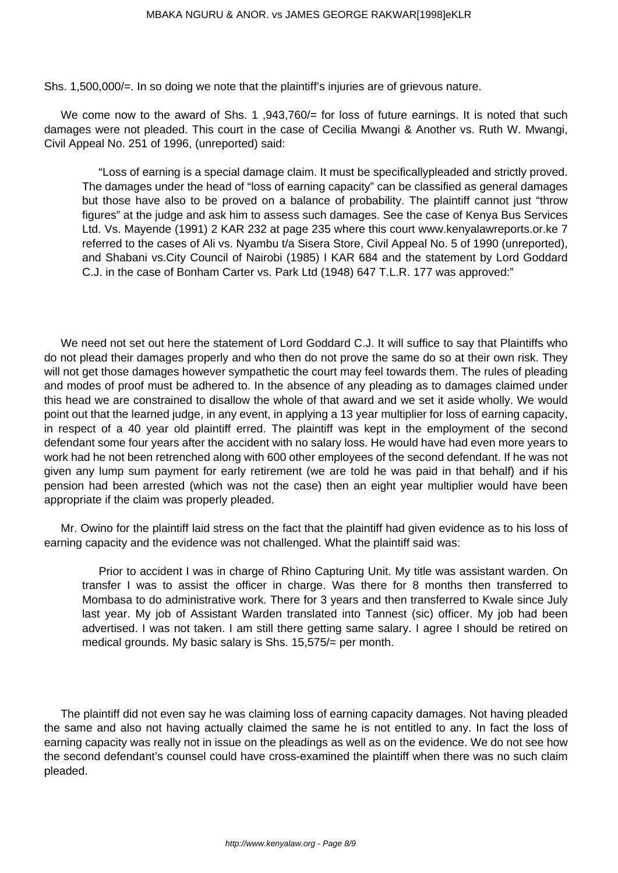Shs. 1,500,000/=. In so doing we note that the plaintiff's injuries are of grievous nature.

We come now to the award of Shs. 1,943,760/= for loss of future earnings. It is noted that such damages were not pleaded. This court in the case of Cecilia Mwangi & Another vs. Ruth W. Mwangi, Civil Appeal No. 251 of 1996, (unreported) said:

"Loss of earning is a special damage claim. It must be specificallypleaded and strictly proved. The damages under the head of "loss of earning capacity" can be classified as general damages but those have also to be proved on a balance of probability. The plaintiff cannot just "throw figures" at the judge and ask him to assess such damages. See the case of Kenya Bus Services Ltd. Vs. Mayende (1991) 2 KAR 232 at page 235 where this court www.kenyalawreports.or.ke 7 referred to the cases of Ali vs. Nyambu t/a Sisera Store, Civil Appeal No. 5 of 1990 (unreported), and Shabani vs.City Council of Nairobi (1985) I KAR 684 and the statement by Lord Goddard C.J. in the case of Bonham Carter vs. Park Ltd (1948) 647 T.L.R. 177 was approved:"

We need not set out here the statement of Lord Goddard C.J. It will suffice to say that Plaintiffs who do not plead their damages properly and who then do not prove the same do so at their own risk. They will not get those damages however sympathetic the court may feel towards them. The rules of pleading and modes of proof must be adhered to. In the absence of any pleading as to damages claimed under this head we are constrained to disallow the whole of that award and we set it aside wholly. We would point out that the learned judge, in any event, in applying a 13 year multiplier for loss of earning capacity, in respect of a 40 year old plaintiff erred. The plaintiff was kept in the employment of the second defendant some four years after the accident with no salary loss. He would have had even more years to work had he not been retrenched along with 600 other employees of the second defendant. If he was not given any lump sum payment for early retirement (we are told he was paid in that behalf) and if his pension had been arrested (which was not the case) then an eight year multiplier would have been appropriate if the claim was properly pleaded.

Mr. Owino for the plaintiff laid stress on the fact that the plaintiff had given evidence as to his loss of earning capacity and the evidence was not challenged. What the plaintiff said was:

Prior to accident I was in charge of Rhino Capturing Unit. My title was assistant warden. On transfer I was to assist the officer in charge. Was there for 8 months then transferred to Mombasa to do administrative work. There for 3 years and then transferred to Kwale since July last year. My job of Assistant Warden translated into Tannest (sic) officer. My job had been advertised. I was not taken. I am still there getting same salary. I agree I should be retired on medical grounds. My basic salary is Shs. 15,575/= per month.

The plaintiff did not even say he was claiming loss of earning capacity damages. Not having pleaded the same and also not having actually claimed the same he is not entitled to any. In fact the loss of earning capacity was really not in issue on the pleadings as well as on the evidence. We do not see how the second defendant's counsel could have cross-examined the plaintiff when there was no such claim pleaded.